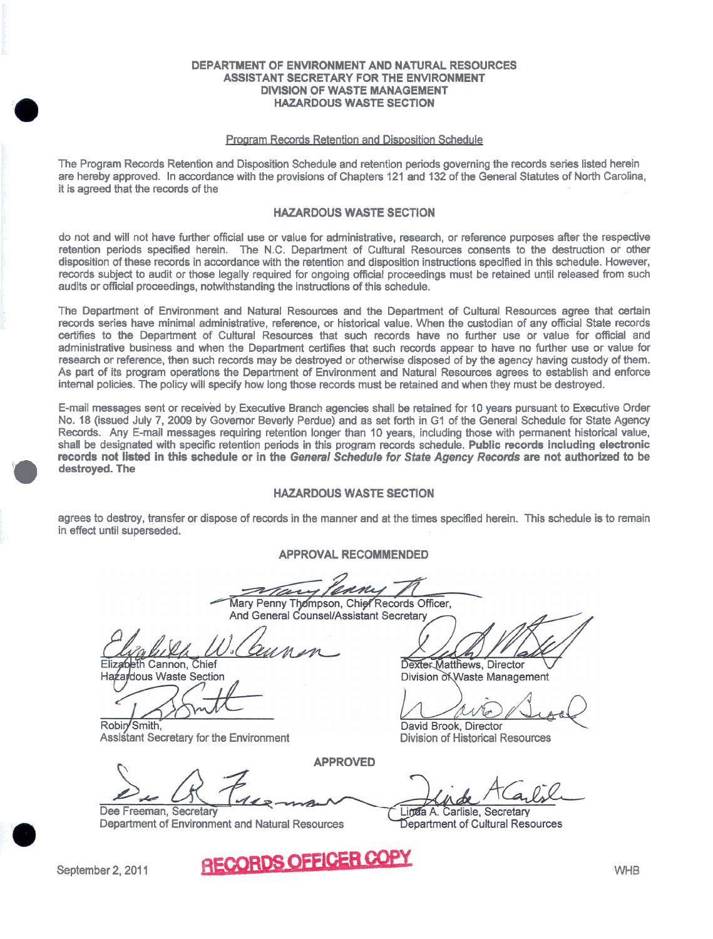### Program Records Retention and Disposition Schedule

The Program Records Retention and Disposition Schedule and retention periods governing the records series listed herein are hereby approved. In accordance with the provisions of Chapters 121 and 132 of the General Statutes of North Carolina, it is agreed that the records of the

### **HAZARDOUS WASTE SECTION**

do not and will not have further official use or value for administrative, research, or reference purposes after the respective retention periods specified herein. The N.C. Department of Cultural Resources consents to the destruction or other disposition of these records in accordance with the retention and disposition instructions specified in this schedule. However, records subject to audit or those legally required for ongoing official proceedings must be retained until released from such audits or official proceedings, notwithstanding the instructions of this schedule.

The Department of Environment and Natural Resources and the Department of Cultural Resources agree that certain records series have minimal administrative, reference, or historical value. When the custodian of any official State records certifies to the Department of Cultural Resources that such records have no further use or value for official and administrative business and when the Department certifies that such records appear to have no further use or value for research or reference, then such records may be destroyed or otherwise disposed of by the agency having custody of them. As part of its program operations the Department of Environment and Natural Resources agrees to establish and enforce internal policies. The policy will specify how long those records must be retained and when they must be destroyed.

E-mail messages sent or received by Executive Branch agencies shall be retained for 10 years pursuant to Executive Order No. 18 (issued July 7, 2009 by Governor Beverly Perdue) and as set forth in GI of the General Schedule for State Agency Records. Any E-mail messages requiring retention longer than 10 years, including those with permanent historical value, Records. Any E-mail messages requiring retention longer than 10 years, including those with permanent historical value,<br>shall be designated with specific retention periods in this program records schedule. Public records i

### **HAZARDOUS WASTE SECTION**

agrees to destroy, transfer or dispose of records in the manner and at the times specified herein. This schedule is to remain in effect until superseded.

## **APPROVAL RECOMMENDED**

Mary Penny Thompson, Chief Records Officer,

**APPROVED** 

And General Counsel/Assistant Secretary

eth Cannon, Chief Elizab

Hazardous Waste Section

Robin Smith,

Assistant Secretary for the Environment **Division of Historical Resources** 

Dee Freeman, Secretary Department of Environment and Natural Resources

Dexter Matthews, Director Division of Waste Management

David Brook, Director

Linda A. Carlisle. Secretary Department of Cultural Resources

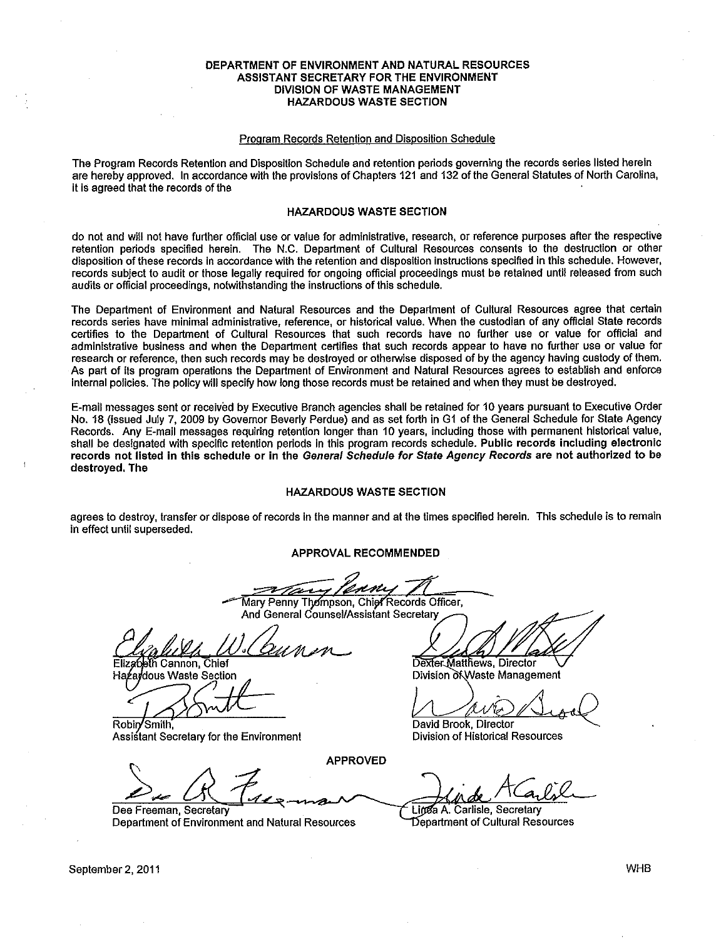#### Program Records Retention and Disposition Schedule

The Program Records Retention and Disposition Schedule and retention periods governing the records series listed herein are hereby approved. In accordance with the provisions of Chapters 121 and 132 of the General Statutes of North Carolina, it is agreed that the records of the

#### **HAZARDOUS WASTE SECTION**

do not and will not have further official use or value for administrative, research, or reference purposes after the respective retention periods specified herein. The N.C. Department of Cultural Resources consents to the destruction or other disposition of these records in accordance with the retention and disposition instructions specified in this schedule. However, records subject to audit or those legally required for ongoing official proceedings must be retained until released from such audits or official proceedings, notwithstanding the instructions of this schedule.

The Department of Environment and Natural Resources and the Department of Cultural Resources agree that certain records series have minimal administrative, reference, or historical value. When the custodian of any official State records certifies to the Department of Cultural Resources that such records have no further use or value for official and administrative business and when the Department certifies that such records appear to have no further use or value for research or reference, then such records may be destroyed or otherwise disposed of by the agency having custody of them. As part of its program operations the Department of Environment and Natural Resources agrees to establish and enforce internal policies. The policy will specify how long those records must be retained and when they must be destroyed.

E-mail messages sent or received by Executive Branch agencies shall be retained for 10 years pursuant to Executive Order No. 18 (issued July 7, 2009 by Governor Beverly Perdue) and as set forth in G1 of the General Schedule for State Agency Records. Any E-mail messages requiring retention longer than 10 years, including those with permanent historical value, shall be designated with specific retention periods in this program records schedule. Public records including electronic records not listed in this schedule or in the General Schedule for State Agency Records are not authorized to be destroved. The

#### **HAZARDOUS WASTE SECTION**

agrees to destroy, transfer or dispose of records in the manner and at the times specified herein. This schedule is to remain in effect until superseded.

#### APPROVAL RECOMMENDED

Mary Penny Thompson, Chief Records Officer,

**APPROVED** 

eth Cannon, Chief

dous Waste Section Hа

Robin/Smith. Assistant Secretary for the Environment

Dee Freeman, Secretary Department of Environment and Natural Resources

And General Counsel/Assistant Secretary Dexter Matthews, Director

Division OKWaste Management

David Brook, Director

**Division of Historical Resources** 

Linda A. Carlisle, Secretary Department of Cultural Resources

September 2, 2011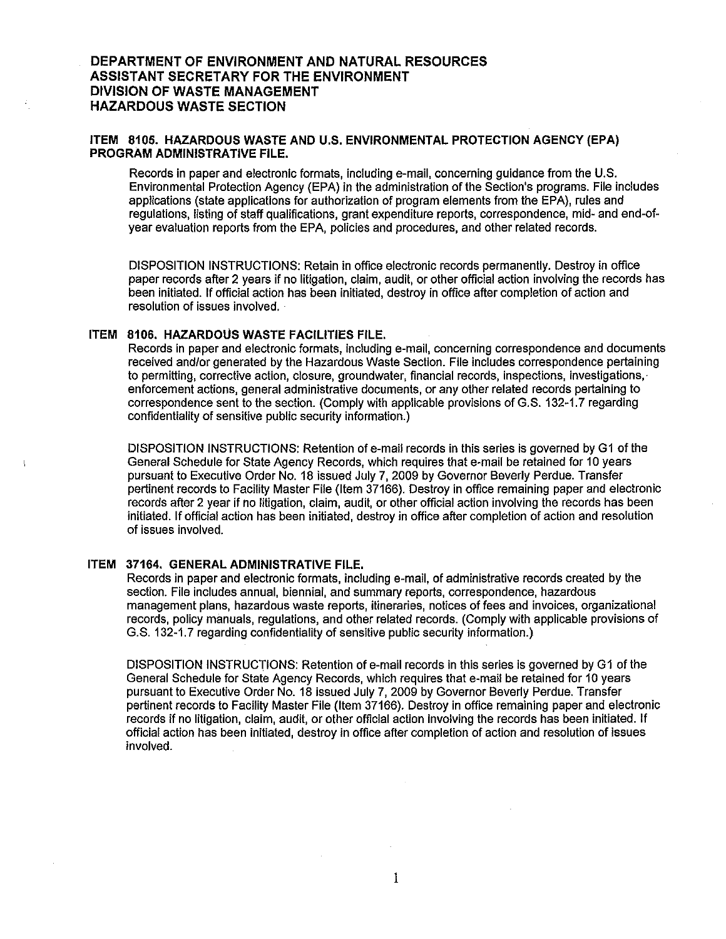### ITEM 8105. HAZARDOUS WASTE AND U.S. ENVIRONMENTAL PROTECTION AGENCY (EPA) **PROGRAM ADMINISTRATIVE FILE.**

Records in paper and electronic formats, including e-mail, concerning guidance from the U.S. Environmental Protection Agency (EPA) in the administration of the Section's programs. File includes applications (state applications for authorization of program elements from the EPA), rules and regulations, listing of staff qualifications, grant expenditure reports, correspondence, mid- and end-ofyear evaluation reports from the EPA, policies and procedures, and other related records.

DISPOSITION INSTRUCTIONS: Retain in office electronic records permanently. Destroy in office paper records after 2 years if no litigation, claim, audit, or other official action involving the records has been initiated. If official action has been initiated, destroy in office after completion of action and resolution of issues involved.

## ITEM 8106. HAZARDOUS WASTE FACILITIES FILE.

Records in paper and electronic formats, including e-mail, concerning correspondence and documents received and/or generated by the Hazardous Waste Section. File includes correspondence pertaining to permitting, corrective action, closure, groundwater, financial records, inspections, investigations, enforcement actions, general administrative documents, or any other related records pertaining to correspondence sent to the section. (Comply with applicable provisions of G.S. 132-1.7 regarding confidentiality of sensitive public security information.)

DISPOSITION INSTRUCTIONS: Retention of e-mail records in this series is governed by G1 of the General Schedule for State Agency Records, which requires that e-mail be retained for 10 years pursuant to Executive Order No. 18 issued July 7, 2009 by Governor Beverly Perdue. Transfer pertinent records to Facility Master File (Item 37166). Destroy in office remaining paper and electronic records after 2 year if no litigation, claim, audit, or other official action involving the records has been initiated. If official action has been initiated, destroy in office after completion of action and resolution of issues involved.

### ITEM 37164. GENERAL ADMINISTRATIVE FILE.

Records in paper and electronic formats, including e-mail, of administrative records created by the section. File includes annual, biennial, and summary reports, correspondence, hazardous management plans, hazardous waste reports, itineraries, notices of fees and invoices, organizational records, policy manuals, regulations, and other related records. (Comply with applicable provisions of G.S. 132-1.7 regarding confidentiality of sensitive public security information.)

DISPOSITION INSTRUCTIONS: Retention of e-mail records in this series is governed by G1 of the General Schedule for State Agency Records, which requires that e-mail be retained for 10 years pursuant to Executive Order No. 18 issued July 7, 2009 by Governor Beverly Perdue. Transfer pertinent records to Facility Master File (Item 37166). Destroy in office remaining paper and electronic records if no litigation, claim, audit, or other official action involving the records has been initiated. If official action has been initiated, destroy in office after completion of action and resolution of issues involved.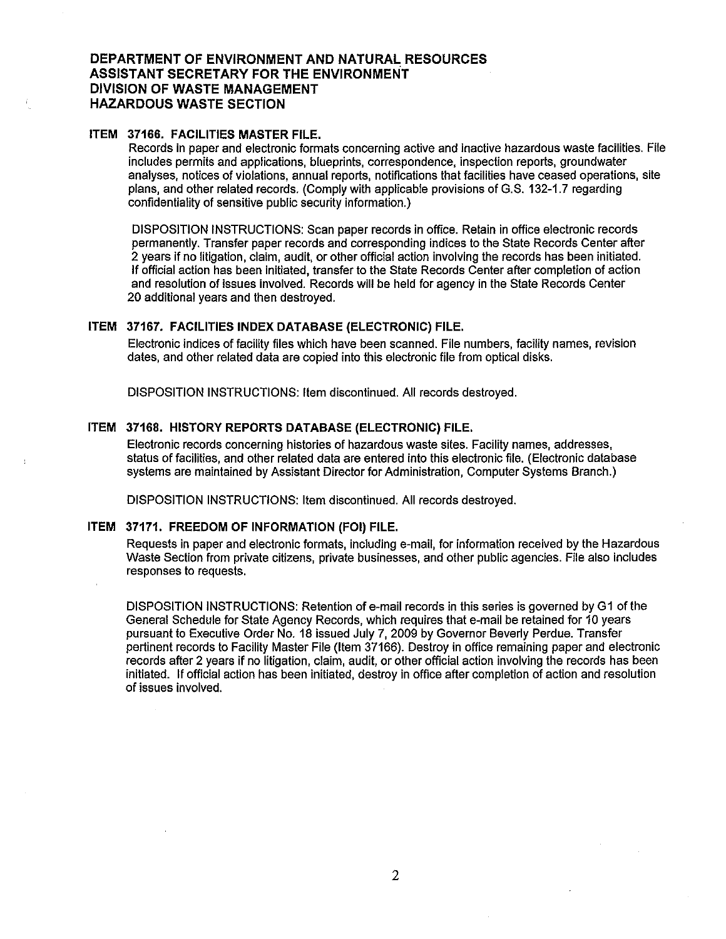### **ITEM 37166. FACILITIES MASTER FILE.**

Records in paper and electronic formats concerning active and inactive hazardous waste facilities. File includes permits and applications, blueprints, correspondence, inspection reports, groundwater analyses, notices of violations, annual reports, notifications that facilities have ceased operations, site plans, and other related records. (Comply with applicable provisions of G.S. 132-1.7 regarding confidentiality of sensitive public security information.)

DISPOSITION INSTRUCTIONS: Scan paper records in office. Retain in office electronic records permanently. Transfer paper records and corresponding indices to the State Records Center after 2 years if no litigation, claim, audit, or other official action involving the records has been initiated. If official action has been initiated, transfer to the State Records Center after completion of action and resolution of issues involved. Records will be held for agency in the State Records Center 20 additional years and then destroyed.

## ITEM 37167. FACILITIES INDEX DATABASE (ELECTRONIC) FILE.

Electronic indices of facility files which have been scanned. File numbers, facility names, revision dates, and other related data are copied into this electronic file from optical disks.

DISPOSITION INSTRUCTIONS: Item discontinued. All records destroved.

## ITEM 37168. HISTORY REPORTS DATABASE (ELECTRONIC) FILE.

Electronic records concerning histories of hazardous waste sites. Facility names, addresses, status of facilities, and other related data are entered into this electronic file. (Electronic database systems are maintained by Assistant Director for Administration, Computer Systems Branch.)

DISPOSITION INSTRUCTIONS: Item discontinued. All records destroyed.

#### ITEM 37171. FREEDOM OF INFORMATION (FOI) FILE.

Requests in paper and electronic formats, including e-mail, for information received by the Hazardous Waste Section from private citizens, private businesses, and other public agencies. File also includes responses to requests.

DISPOSITION INSTRUCTIONS: Retention of e-mail records in this series is governed by G1 of the General Schedule for State Agency Records, which requires that e-mail be retained for 10 years pursuant to Executive Order No. 18 issued July 7, 2009 by Governor Beverly Perdue. Transfer pertinent records to Facility Master File (Item 37166). Destroy in office remaining paper and electronic records after 2 years if no litigation, claim, audit, or other official action involving the records has been initiated. If official action has been initiated, destroy in office after completion of action and resolution of issues involved.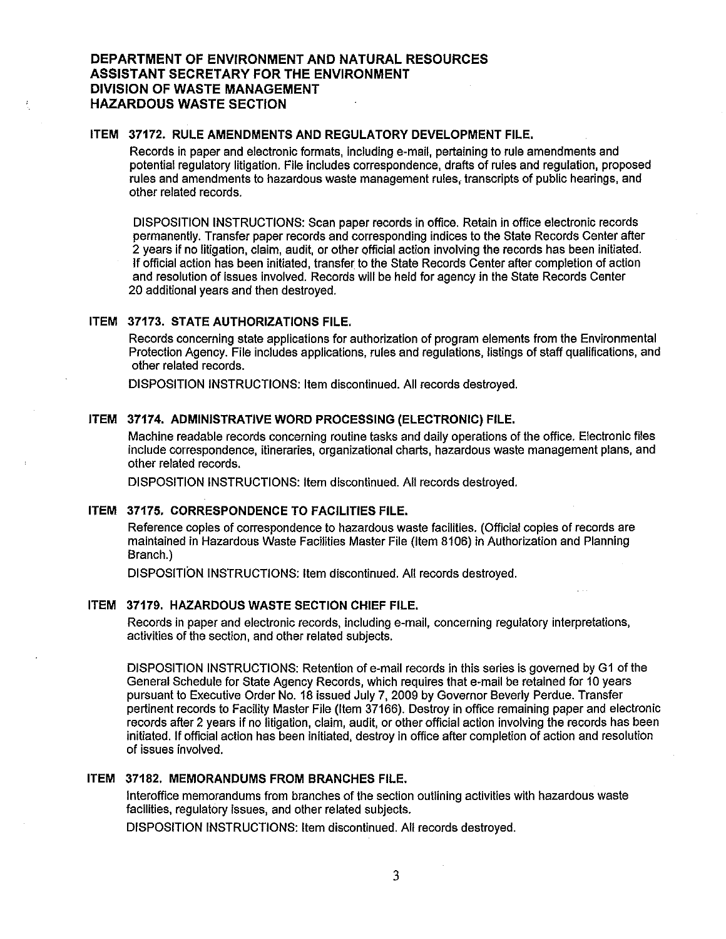## ITEM 37172. RULE AMENDMENTS AND REGULATORY DEVELOPMENT FILE.

Records in paper and electronic formats, including e-mail, pertaining to rule amendments and potential regulatory litigation. File includes correspondence, drafts of rules and regulation, proposed rules and amendments to hazardous waste management rules, transcripts of public hearings, and other related records.

DISPOSITION INSTRUCTIONS: Scan paper records in office. Retain in office electronic records permanently. Transfer paper records and corresponding indices to the State Records Center after 2 years if no litigation, claim, audit, or other official action involving the records has been initiated. If official action has been initiated, transfer to the State Records Center after completion of action and resolution of issues involved. Records will be held for agency in the State Records Center 20 additional vears and then destroved.

## ITEM 37173. STATE AUTHORIZATIONS FILE.

Records concerning state applications for authorization of program elements from the Environmental Protection Agency. File includes applications, rules and regulations, listings of staff qualifications, and other related records.

DISPOSITION INSTRUCTIONS: Item discontinued. All records destroyed.

### ITEM 37174. ADMINISTRATIVE WORD PROCESSING (ELECTRONIC) FILE.

Machine readable records concerning routine tasks and daily operations of the office. Electronic files include correspondence, itineraries, organizational charts, hazardous waste management plans, and other related records.

DISPOSITION INSTRUCTIONS: Item discontinued. All records destroyed.

#### ITEM 37175. CORRESPONDENCE TO FACILITIES FILE.

Reference copies of correspondence to hazardous waste facilities. (Official copies of records are maintained in Hazardous Waste Facilities Master File (Item 8106) in Authorization and Planning Branch.)

DISPOSITION INSTRUCTIONS: Item discontinued. All records destroyed.

#### ITEM 37179. HAZARDOUS WASTE SECTION CHIEF FILE.

Records in paper and electronic records, including e-mail, concerning regulatory interpretations, activities of the section, and other related subjects.

DISPOSITION INSTRUCTIONS: Retention of e-mail records in this series is governed by G1 of the General Schedule for State Agency Records, which requires that e-mail be retained for 10 years pursuant to Executive Order No. 18 issued July 7, 2009 by Governor Beverly Perdue. Transfer pertinent records to Facility Master File (Item 37166). Destroy in office remaining paper and electronic records after 2 years if no litigation, claim, audit, or other official action involving the records has been initiated. If official action has been initiated, destroy in office after completion of action and resolution of issues involved.

### ITEM 37182. MEMORANDUMS FROM BRANCHES FILE.

Interoffice memorandums from branches of the section outlining activities with hazardous waste facilities, regulatory issues, and other related subjects.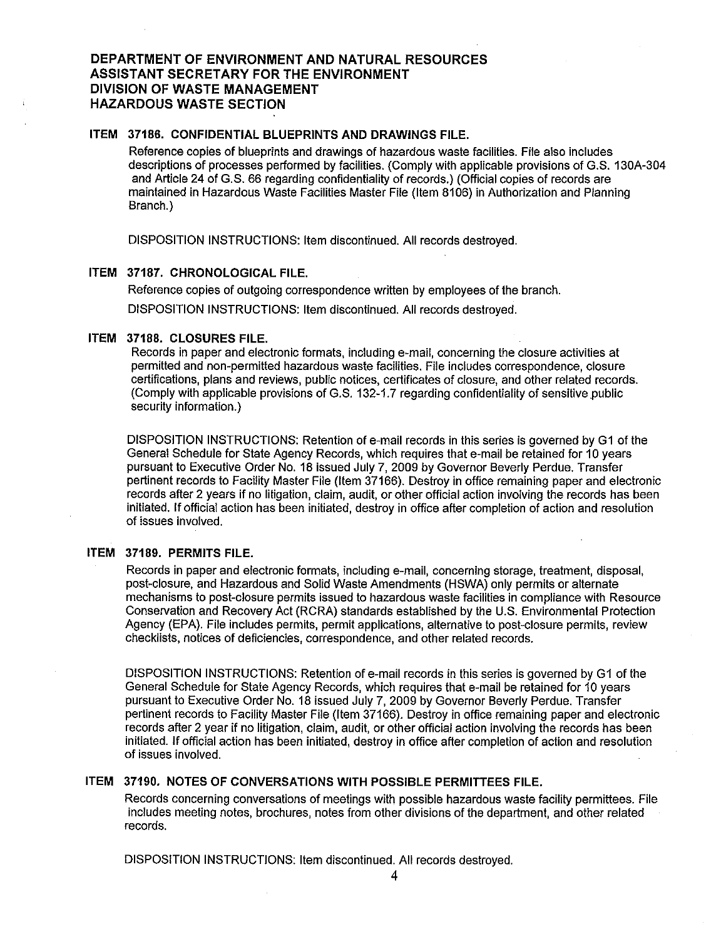### ITEM 37186. CONFIDENTIAL BLUEPRINTS AND DRAWINGS FILE.

Reference copies of blueprints and drawings of hazardous waste facilities. File also includes descriptions of processes performed by facilities. (Comply with applicable provisions of G.S. 130A-304 and Article 24 of G.S. 66 regarding confidentiality of records.) (Official copies of records are maintained in Hazardous Waste Facilities Master File (Item 8106) in Authorization and Planning Branch.)

DISPOSITION INSTRUCTIONS: Item discontinued. All records destroved.

#### ITEM 37187. CHRONOLOGICAL FILE.

Reference copies of outgoing correspondence written by employees of the branch.

DISPOSITION INSTRUCTIONS: Item discontinued. All records destroyed.

### ITEM 37188. CLOSURES FILE.

Records in paper and electronic formats, including e-mail, concerning the closure activities at permitted and non-permitted hazardous waste facilities. File includes correspondence, closure certifications, plans and reviews, public notices, certificates of closure, and other related records. (Comply with applicable provisions of G.S. 132-1.7 regarding confidentiality of sensitive public security information.)

DISPOSITION INSTRUCTIONS: Retention of e-mail records in this series is governed by G1 of the General Schedule for State Agency Records, which requires that e-mail be retained for 10 years pursuant to Executive Order No. 18 issued July 7, 2009 by Governor Beverly Perdue. Transfer pertinent records to Facility Master File (Item 37166). Destroy in office remaining paper and electronic records after 2 years if no litigation, claim, audit, or other official action involving the records has been initiated. If official action has been initiated, destroy in office after completion of action and resolution of issues involved.

## ITEM 37189. PERMITS FILE.

Records in paper and electronic formats, including e-mail, concerning storage, treatment, disposal, post-closure, and Hazardous and Solid Waste Amendments (HSWA) only permits or alternate mechanisms to post-closure permits issued to hazardous waste facilities in compliance with Resource Conservation and Recovery Act (RCRA) standards established by the U.S. Environmental Protection Agency (EPA). File includes permits, permit applications, alternative to post-closure permits, review checklists, notices of deficiencies, correspondence, and other related records.

DISPOSITION INSTRUCTIONS: Retention of e-mail records in this series is governed by G1 of the General Schedule for State Agency Records, which requires that e-mail be retained for 10 years pursuant to Executive Order No. 18 issued July 7, 2009 by Governor Beverly Perdue. Transfer pertinent records to Facility Master File (Item 37166). Destroy in office remaining paper and electronic records after 2 year if no litigation, claim, audit, or other official action involving the records has been initiated. If official action has been initiated, destroy in office after completion of action and resolution of issues involved.

### ITEM 37190. NOTES OF CONVERSATIONS WITH POSSIBLE PERMITTEES FILE.

Records concerning conversations of meetings with possible hazardous waste facility permittees. File includes meeting notes, brochures, notes from other divisions of the department, and other related records.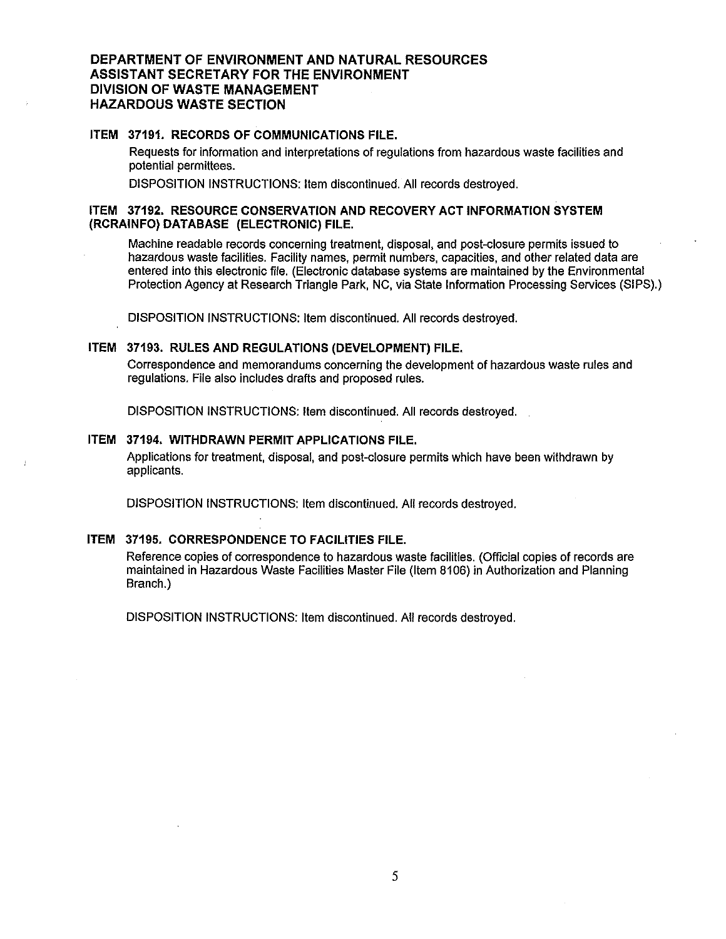## ITEM 37191. RECORDS OF COMMUNICATIONS FILE. Requests for information and interpretations of regulations from hazardous waste facilities and potential permittees.

DISPOSITION INSTRUCTIONS; Item discontinued. All records destroyed.

### ITEM 37192. RESOURCE CONSERVATION AND RECOVERY ACT INFORMATION SYSTEM (RCRAINFO) DATABASE (ELECTRONIC) FILE.

Machine readable records concerning treatment, disposal, and post-closure permits issued to hazardous waste facilities. Facility names, permit numbers, capacities, and other related data are entered into this electronic file. (Electronic database systems are maintained by the Environmental Protection Agency at Research Triangle Park, NC, via State Information Processing Services (SIPS).)

DISPOSITION INSTRUCTIONS: Item discontinued. All records destroved.

### ITEM 37193. RULES AND REGULATIONS (DEVELOPMENT) FILE.

Correspondence and memorandums concerning the development of hazardous waste rules and regulations. File also includes drafts and proposed rules.

DISPOSITION INSTRUCTIONS: Item discontinued. All records destroyed.

## ITEM 37194. WITHDRAWN PERMIT APPLICATIONS FILE.

Applications for treatment, disposal, and post-closure permits which have been withdrawn by applicants.

DISPOSITION INSTRUCTIONS: Item discontinued. All records destroved.

## **ITEM 37195. CORRESPONDENCE TO FACILITIES FILE.**

Reference copies of correspondence to hazardous waste facilities. (Official copies of records are maintained in Hazardous Waste Facilities Master File (Item 8106) in Authorization and Planning Branch.)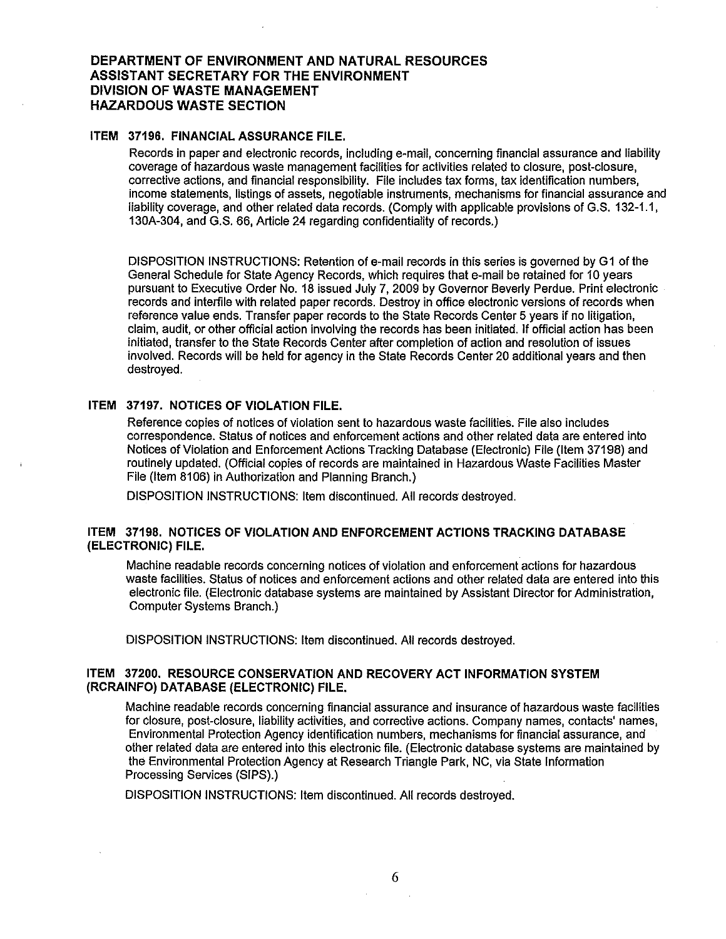### ITEM 37196. FINANCIAL ASSURANCE FILE.

Records in paper and electronic records, including e-mail, concerning financial assurance and liability coverage of hazardous waste management facilities for activities related to closure, post-closure, corrective actions, and financial responsibility. File includes tax forms, tax identification numbers, income statements, listings of assets, negotiable instruments, mechanisms for financial assurance and liability coverage, and other related data records. (Comply with applicable provisions of G.S. 132-1.1, 130A-304, and G.S. 66, Article 24 regarding confidentiality of records.)

DISPOSITION INSTRUCTIONS: Retention of e-mail records in this series is governed by G1 of the General Schedule for State Agency Records, which requires that e-mail be retained for 10 years pursuant to Executive Order No. 18 issued July 7, 2009 by Governor Beverly Perdue. Print electronic records and interfile with related paper records. Destroy in office electronic versions of records when reference value ends. Transfer paper records to the State Records Center 5 years if no litigation. claim, audit, or other official action involving the records has been initiated. If official action has been initiated, transfer to the State Records Center after completion of action and resolution of issues involved. Records will be held for agency in the State Records Center 20 additional years and then destroved.

## **ITEM 37197. NOTICES OF VIOLATION FILE.**

Reference copies of notices of violation sent to hazardous waste facilities. File also includes correspondence. Status of notices and enforcement actions and other related data are entered into Notices of Violation and Enforcement Actions Tracking Database (Electronic) File (Item 37198) and routinely updated. (Official copies of records are maintained in Hazardous Waste Facilities Master File (Item 8106) in Authorization and Planning Branch.)

DISPOSITION INSTRUCTIONS: Item discontinued. All records destroyed.

### ITEM 37198. NOTICES OF VIOLATION AND ENFORCEMENT ACTIONS TRACKING DATABASE (ELECTRONIC) FILE.

Machine readable records concerning notices of violation and enforcement actions for hazardous waste facilities. Status of notices and enforcement actions and other related data are entered into this electronic file. (Electronic database systems are maintained by Assistant Director for Administration. Computer Systems Branch.)

DISPOSITION INSTRUCTIONS: Item discontinued. All records destroyed.

### ITEM 37200. RESOURCE CONSERVATION AND RECOVERY ACT INFORMATION SYSTEM (RCRAINFO) DATABASE (ELECTRONIC) FILE.

Machine readable records concerning financial assurance and insurance of hazardous waste facilities for closure, post-closure, liability activities, and corrective actions. Company names, contacts' names, Environmental Protection Agency identification numbers, mechanisms for financial assurance, and other related data are entered into this electronic file. (Electronic database systems are maintained by the Environmental Protection Agency at Research Triangle Park, NC, via State Information Processing Services (SIPS).)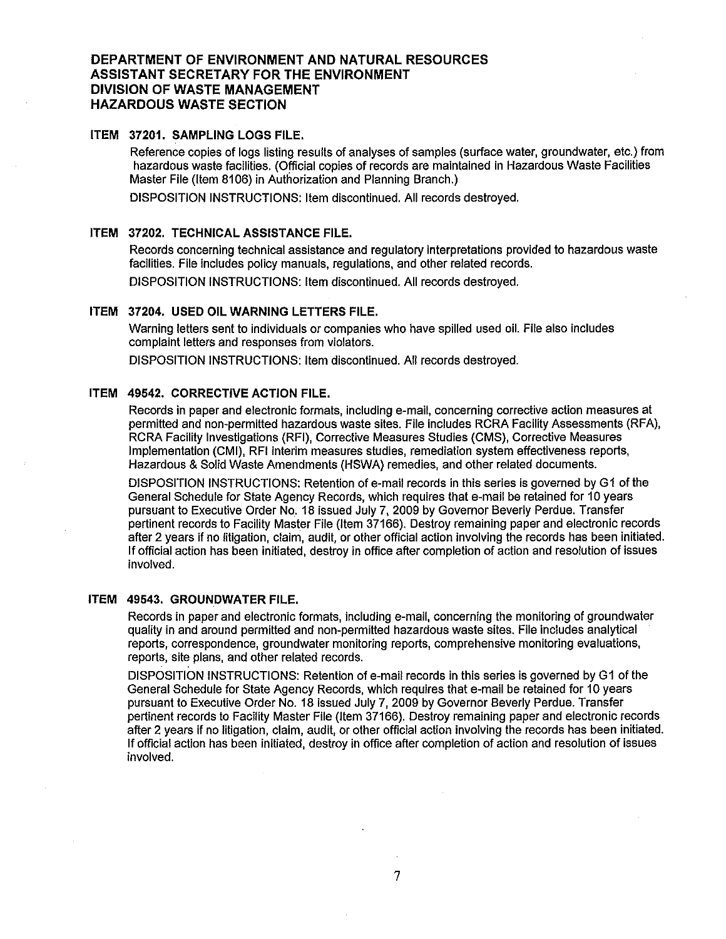### ITEM 37201. SAMPLING LOGS FILE.

Reference copies of logs listing results of analyses of samples (surface water, groundwater, etc.) from hazardous waste facilities. (Official copies of records are maintained in Hazardous Waste Facilities Master File (Item 8106) in Authorization and Planning Branch.)

DISPOSITION INSTRUCTIONS: Item discontinued. All records destroved.

### ITEM 37202. TECHNICAL ASSISTANCE FILE.

Records concerning technical assistance and regulatory interpretations provided to hazardous waste facilities. File includes policy manuals, regulations, and other related records.

DISPOSITION INSTRUCTIONS: Item discontinued. All records destroyed.

## ITEM 37204. USED OIL WARNING LETTERS FILE.

Warning letters sent to individuals or companies who have spilled used oil. File also includes complaint letters and responses from violators.

DISPOSITION INSTRUCTIONS: Item discontinued. All records destroyed.

## ITEM 49542. CORRECTIVE ACTION FILE.

Records in paper and electronic formats, including e-mail, concerning corrective action measures at permitted and non-permitted hazardous waste sites. File includes RCRA Facility Assessments (RFA), RCRA Facility Investigations (RFI), Corrective Measures Studies (CMS), Corrective Measures Implementation (CMI). RFI interim measures studies, remediation system effectiveness reports, Hazardous & Solid Waste Amendments (HSWA) remedies, and other related documents.

DISPOSITION INSTRUCTIONS: Retention of e-mail records in this series is governed by G1 of the General Schedule for State Agency Records, which requires that e-mail be retained for 10 years pursuant to Executive Order No. 18 issued July 7, 2009 by Governor Beverly Perdue. Transfer pertinent records to Facility Master File (Item 37166). Destroy remaining paper and electronic records after 2 years if no litigation, claim, audit, or other official action involving the records has been initiated. If official action has been initiated, destroy in office after completion of action and resolution of issues involved.

#### **ITEM 49543, GROUNDWATER FILE.**

Records in paper and electronic formats, including e-mail, concerning the monitoring of groundwater quality in and around permitted and non-permitted hazardous waste sites. File includes analytical reports, correspondence, groundwater monitoring reports, comprehensive monitoring evaluations, reports, site plans, and other related records.

DISPOSITION INSTRUCTIONS: Retention of e-mail records in this series is governed by G1 of the General Schedule for State Agency Records, which requires that e-mail be retained for 10 years pursuant to Executive Order No. 18 issued July 7, 2009 by Governor Beverly Perdue. Transfer pertinent records to Facility Master File (Item 37166). Destroy remaining paper and electronic records after 2 years if no litigation, claim, audit, or other official action involving the records has been initiated. If official action has been initiated, destroy in office after completion of action and resolution of issues involved.